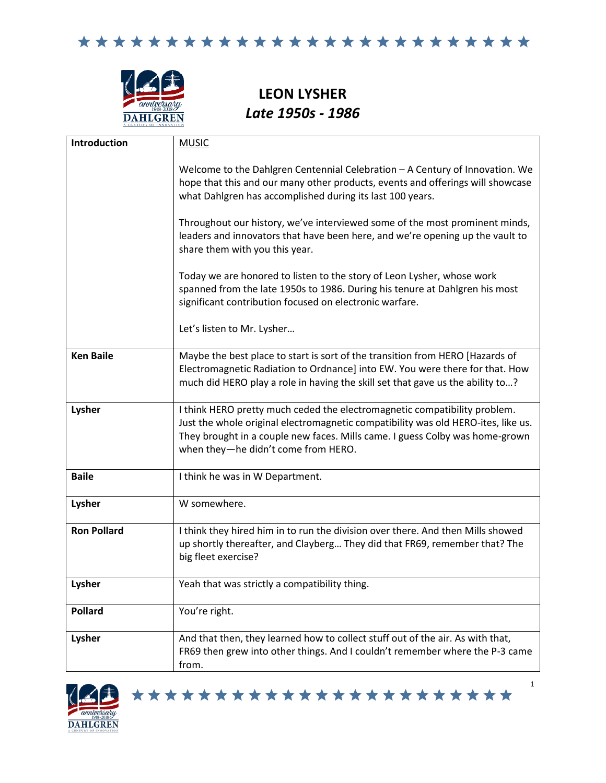

**LEON LYSHER** *Late 1950s - 1986*

| Introduction       | <b>MUSIC</b>                                                                                                                                                                                                                                                                          |
|--------------------|---------------------------------------------------------------------------------------------------------------------------------------------------------------------------------------------------------------------------------------------------------------------------------------|
|                    | Welcome to the Dahlgren Centennial Celebration - A Century of Innovation. We<br>hope that this and our many other products, events and offerings will showcase<br>what Dahlgren has accomplished during its last 100 years.                                                           |
|                    | Throughout our history, we've interviewed some of the most prominent minds,<br>leaders and innovators that have been here, and we're opening up the vault to<br>share them with you this year.                                                                                        |
|                    | Today we are honored to listen to the story of Leon Lysher, whose work<br>spanned from the late 1950s to 1986. During his tenure at Dahlgren his most<br>significant contribution focused on electronic warfare.                                                                      |
|                    | Let's listen to Mr. Lysher                                                                                                                                                                                                                                                            |
| <b>Ken Baile</b>   | Maybe the best place to start is sort of the transition from HERO [Hazards of<br>Electromagnetic Radiation to Ordnance] into EW. You were there for that. How<br>much did HERO play a role in having the skill set that gave us the ability to?                                       |
| Lysher             | I think HERO pretty much ceded the electromagnetic compatibility problem.<br>Just the whole original electromagnetic compatibility was old HERO-ites, like us.<br>They brought in a couple new faces. Mills came. I guess Colby was home-grown<br>when they-he didn't come from HERO. |
| <b>Baile</b>       | I think he was in W Department.                                                                                                                                                                                                                                                       |
| Lysher             | W somewhere.                                                                                                                                                                                                                                                                          |
| <b>Ron Pollard</b> | I think they hired him in to run the division over there. And then Mills showed<br>up shortly thereafter, and Clayberg They did that FR69, remember that? The<br>big fleet exercise?                                                                                                  |
| Lysher             | Yeah that was strictly a compatibility thing.                                                                                                                                                                                                                                         |
| <b>Pollard</b>     | You're right.                                                                                                                                                                                                                                                                         |
| Lysher             | And that then, they learned how to collect stuff out of the air. As with that,<br>FR69 then grew into other things. And I couldn't remember where the P-3 came<br>from.                                                                                                               |



\*\*\*\*\*\*\*\*\*\*\*\*\*\*\*\*\*\*\*\*\*\*\*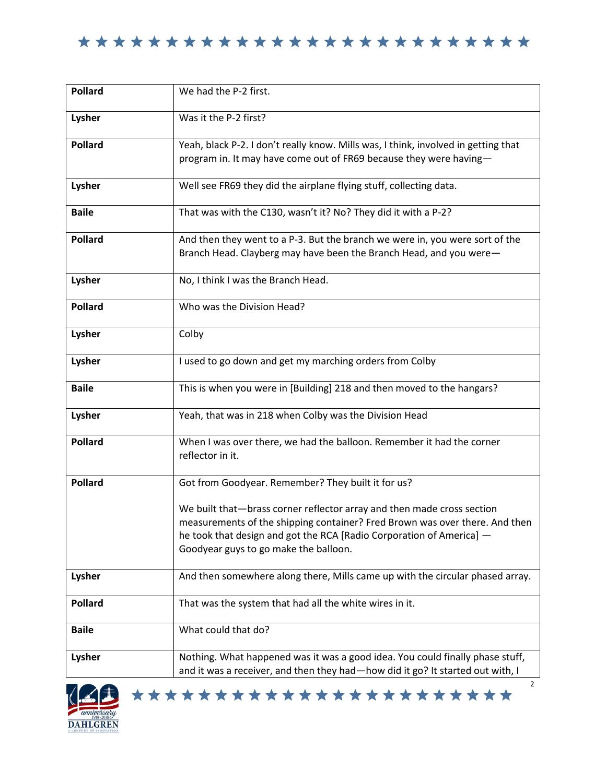| <b>Pollard</b> | We had the P-2 first.                                                                                                                                                                                                                                                  |
|----------------|------------------------------------------------------------------------------------------------------------------------------------------------------------------------------------------------------------------------------------------------------------------------|
| Lysher         | Was it the P-2 first?                                                                                                                                                                                                                                                  |
| <b>Pollard</b> | Yeah, black P-2. I don't really know. Mills was, I think, involved in getting that<br>program in. It may have come out of FR69 because they were having-                                                                                                               |
| Lysher         | Well see FR69 they did the airplane flying stuff, collecting data.                                                                                                                                                                                                     |
| <b>Baile</b>   | That was with the C130, wasn't it? No? They did it with a P-2?                                                                                                                                                                                                         |
| <b>Pollard</b> | And then they went to a P-3. But the branch we were in, you were sort of the<br>Branch Head. Clayberg may have been the Branch Head, and you were-                                                                                                                     |
| Lysher         | No, I think I was the Branch Head.                                                                                                                                                                                                                                     |
| <b>Pollard</b> | Who was the Division Head?                                                                                                                                                                                                                                             |
| Lysher         | Colby                                                                                                                                                                                                                                                                  |
| Lysher         | I used to go down and get my marching orders from Colby                                                                                                                                                                                                                |
| <b>Baile</b>   | This is when you were in [Building] 218 and then moved to the hangars?                                                                                                                                                                                                 |
| Lysher         | Yeah, that was in 218 when Colby was the Division Head                                                                                                                                                                                                                 |
| <b>Pollard</b> | When I was over there, we had the balloon. Remember it had the corner<br>reflector in it.                                                                                                                                                                              |
| <b>Pollard</b> | Got from Goodyear. Remember? They built it for us?                                                                                                                                                                                                                     |
|                | We built that-brass corner reflector array and then made cross section<br>measurements of the shipping container? Fred Brown was over there. And then<br>he took that design and got the RCA [Radio Corporation of America] -<br>Goodyear guys to go make the balloon. |
| Lysher         | And then somewhere along there, Mills came up with the circular phased array.                                                                                                                                                                                          |
| <b>Pollard</b> | That was the system that had all the white wires in it.                                                                                                                                                                                                                |
| <b>Baile</b>   | What could that do?                                                                                                                                                                                                                                                    |
| Lysher         | Nothing. What happened was it was a good idea. You could finally phase stuff,<br>and it was a receiver, and then they had-how did it go? It started out with, I                                                                                                        |

\*\*\*\*\*\*\*\*\*\*\*\*\*\*\*\*\*\*\*\*\*\*\*

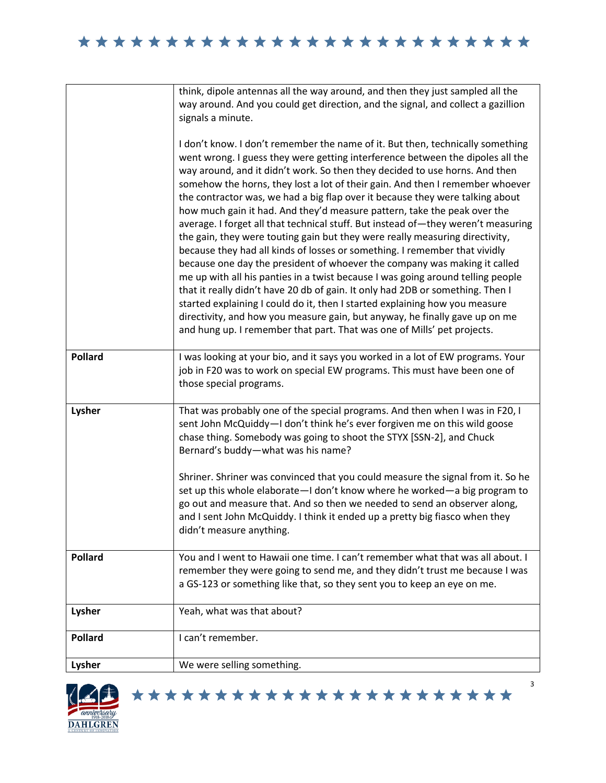|                | think, dipole antennas all the way around, and then they just sampled all the<br>way around. And you could get direction, and the signal, and collect a gazillion<br>signals a minute.<br>I don't know. I don't remember the name of it. But then, technically something<br>went wrong. I guess they were getting interference between the dipoles all the<br>way around, and it didn't work. So then they decided to use horns. And then<br>somehow the horns, they lost a lot of their gain. And then I remember whoever<br>the contractor was, we had a big flap over it because they were talking about<br>how much gain it had. And they'd measure pattern, take the peak over the<br>average. I forget all that technical stuff. But instead of-they weren't measuring<br>the gain, they were touting gain but they were really measuring directivity,<br>because they had all kinds of losses or something. I remember that vividly<br>because one day the president of whoever the company was making it called<br>me up with all his panties in a twist because I was going around telling people<br>that it really didn't have 20 db of gain. It only had 2DB or something. Then I<br>started explaining I could do it, then I started explaining how you measure<br>directivity, and how you measure gain, but anyway, he finally gave up on me<br>and hung up. I remember that part. That was one of Mills' pet projects. |
|----------------|---------------------------------------------------------------------------------------------------------------------------------------------------------------------------------------------------------------------------------------------------------------------------------------------------------------------------------------------------------------------------------------------------------------------------------------------------------------------------------------------------------------------------------------------------------------------------------------------------------------------------------------------------------------------------------------------------------------------------------------------------------------------------------------------------------------------------------------------------------------------------------------------------------------------------------------------------------------------------------------------------------------------------------------------------------------------------------------------------------------------------------------------------------------------------------------------------------------------------------------------------------------------------------------------------------------------------------------------------------------------------------------------------------------------------------------|
| <b>Pollard</b> | I was looking at your bio, and it says you worked in a lot of EW programs. Your<br>job in F20 was to work on special EW programs. This must have been one of<br>those special programs.                                                                                                                                                                                                                                                                                                                                                                                                                                                                                                                                                                                                                                                                                                                                                                                                                                                                                                                                                                                                                                                                                                                                                                                                                                               |
| Lysher         | That was probably one of the special programs. And then when I was in F20, I<br>sent John McQuiddy-I don't think he's ever forgiven me on this wild goose<br>chase thing. Somebody was going to shoot the STYX [SSN-2], and Chuck<br>Bernard's buddy-what was his name?<br>Shriner. Shriner was convinced that you could measure the signal from it. So he<br>set up this whole elaborate-I don't know where he worked-a big program to<br>go out and measure that. And so then we needed to send an observer along,<br>and I sent John McQuiddy. I think it ended up a pretty big fiasco when they<br>didn't measure anything.                                                                                                                                                                                                                                                                                                                                                                                                                                                                                                                                                                                                                                                                                                                                                                                                       |
| <b>Pollard</b> | You and I went to Hawaii one time. I can't remember what that was all about. I<br>remember they were going to send me, and they didn't trust me because I was<br>a GS-123 or something like that, so they sent you to keep an eye on me.                                                                                                                                                                                                                                                                                                                                                                                                                                                                                                                                                                                                                                                                                                                                                                                                                                                                                                                                                                                                                                                                                                                                                                                              |
| Lysher         | Yeah, what was that about?                                                                                                                                                                                                                                                                                                                                                                                                                                                                                                                                                                                                                                                                                                                                                                                                                                                                                                                                                                                                                                                                                                                                                                                                                                                                                                                                                                                                            |
| <b>Pollard</b> | I can't remember.                                                                                                                                                                                                                                                                                                                                                                                                                                                                                                                                                                                                                                                                                                                                                                                                                                                                                                                                                                                                                                                                                                                                                                                                                                                                                                                                                                                                                     |
| Lysher         | We were selling something.                                                                                                                                                                                                                                                                                                                                                                                                                                                                                                                                                                                                                                                                                                                                                                                                                                                                                                                                                                                                                                                                                                                                                                                                                                                                                                                                                                                                            |



\*\*\*\*\*\*\*\*\*\*\*\*\*\*\*\*\*\*\*\*\*\*\*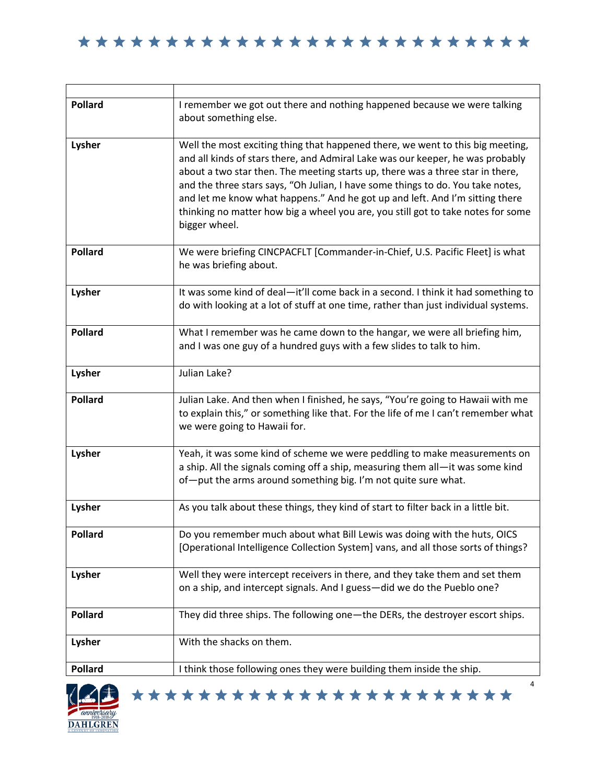| <b>Pollard</b> | I remember we got out there and nothing happened because we were talking<br>about something else.                                                                                                                                                                                                                                                                                                                                                                                                                          |
|----------------|----------------------------------------------------------------------------------------------------------------------------------------------------------------------------------------------------------------------------------------------------------------------------------------------------------------------------------------------------------------------------------------------------------------------------------------------------------------------------------------------------------------------------|
| Lysher         | Well the most exciting thing that happened there, we went to this big meeting,<br>and all kinds of stars there, and Admiral Lake was our keeper, he was probably<br>about a two star then. The meeting starts up, there was a three star in there,<br>and the three stars says, "Oh Julian, I have some things to do. You take notes,<br>and let me know what happens." And he got up and left. And I'm sitting there<br>thinking no matter how big a wheel you are, you still got to take notes for some<br>bigger wheel. |
| <b>Pollard</b> | We were briefing CINCPACFLT [Commander-in-Chief, U.S. Pacific Fleet] is what<br>he was briefing about.                                                                                                                                                                                                                                                                                                                                                                                                                     |
| Lysher         | It was some kind of deal-it'll come back in a second. I think it had something to<br>do with looking at a lot of stuff at one time, rather than just individual systems.                                                                                                                                                                                                                                                                                                                                                   |
| <b>Pollard</b> | What I remember was he came down to the hangar, we were all briefing him,<br>and I was one guy of a hundred guys with a few slides to talk to him.                                                                                                                                                                                                                                                                                                                                                                         |
| Lysher         | Julian Lake?                                                                                                                                                                                                                                                                                                                                                                                                                                                                                                               |
| <b>Pollard</b> | Julian Lake. And then when I finished, he says, "You're going to Hawaii with me<br>to explain this," or something like that. For the life of me I can't remember what<br>we were going to Hawaii for.                                                                                                                                                                                                                                                                                                                      |
| Lysher         | Yeah, it was some kind of scheme we were peddling to make measurements on<br>a ship. All the signals coming off a ship, measuring them all-it was some kind<br>of-put the arms around something big. I'm not quite sure what.                                                                                                                                                                                                                                                                                              |
| Lysher         | As you talk about these things, they kind of start to filter back in a little bit.                                                                                                                                                                                                                                                                                                                                                                                                                                         |
| <b>Pollard</b> | Do you remember much about what Bill Lewis was doing with the huts, OICS<br>[Operational Intelligence Collection System] vans, and all those sorts of things?                                                                                                                                                                                                                                                                                                                                                              |
| Lysher         | Well they were intercept receivers in there, and they take them and set them<br>on a ship, and intercept signals. And I guess-did we do the Pueblo one?                                                                                                                                                                                                                                                                                                                                                                    |
| <b>Pollard</b> | They did three ships. The following one-the DERs, the destroyer escort ships.                                                                                                                                                                                                                                                                                                                                                                                                                                              |
| Lysher         | With the shacks on them.                                                                                                                                                                                                                                                                                                                                                                                                                                                                                                   |
| <b>Pollard</b> | I think those following ones they were building them inside the ship.                                                                                                                                                                                                                                                                                                                                                                                                                                                      |

\*\*\*\*\*\*\*\*\*\*\*\*\*\*\*\*\*\*\*\*\*\*\*

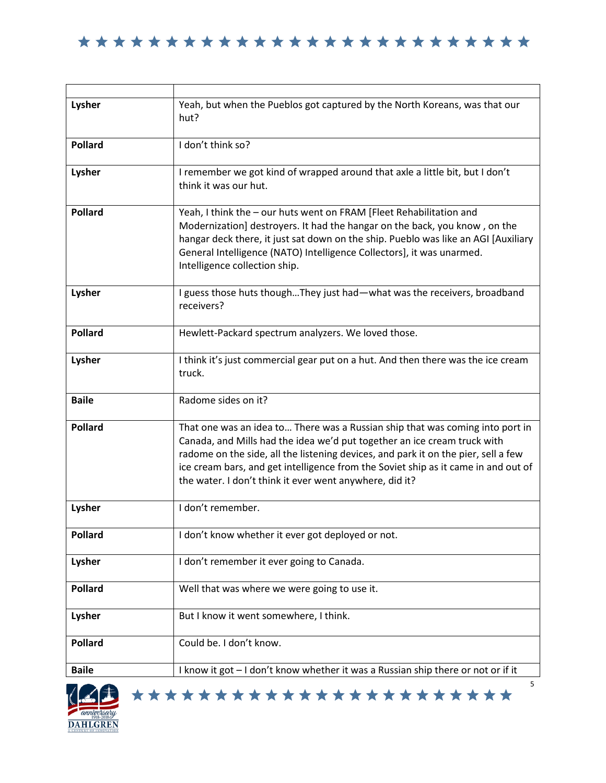| Lysher         | Yeah, but when the Pueblos got captured by the North Koreans, was that our<br>hut?                                                                                                                                                                                                                                                                                                               |
|----------------|--------------------------------------------------------------------------------------------------------------------------------------------------------------------------------------------------------------------------------------------------------------------------------------------------------------------------------------------------------------------------------------------------|
| <b>Pollard</b> | I don't think so?                                                                                                                                                                                                                                                                                                                                                                                |
| Lysher         | I remember we got kind of wrapped around that axle a little bit, but I don't<br>think it was our hut.                                                                                                                                                                                                                                                                                            |
| <b>Pollard</b> | Yeah, I think the - our huts went on FRAM [Fleet Rehabilitation and<br>Modernization] destroyers. It had the hangar on the back, you know, on the<br>hangar deck there, it just sat down on the ship. Pueblo was like an AGI [Auxiliary<br>General Intelligence (NATO) Intelligence Collectors], it was unarmed.<br>Intelligence collection ship.                                                |
| Lysher         | I guess those huts thoughThey just had—what was the receivers, broadband<br>receivers?                                                                                                                                                                                                                                                                                                           |
| <b>Pollard</b> | Hewlett-Packard spectrum analyzers. We loved those.                                                                                                                                                                                                                                                                                                                                              |
| Lysher         | I think it's just commercial gear put on a hut. And then there was the ice cream<br>truck.                                                                                                                                                                                                                                                                                                       |
| <b>Baile</b>   | Radome sides on it?                                                                                                                                                                                                                                                                                                                                                                              |
| <b>Pollard</b> | That one was an idea to There was a Russian ship that was coming into port in<br>Canada, and Mills had the idea we'd put together an ice cream truck with<br>radome on the side, all the listening devices, and park it on the pier, sell a few<br>ice cream bars, and get intelligence from the Soviet ship as it came in and out of<br>the water. I don't think it ever went anywhere, did it? |
| Lysher         | I don't remember.                                                                                                                                                                                                                                                                                                                                                                                |
| <b>Pollard</b> | I don't know whether it ever got deployed or not.                                                                                                                                                                                                                                                                                                                                                |
| Lysher         | I don't remember it ever going to Canada.                                                                                                                                                                                                                                                                                                                                                        |
| <b>Pollard</b> | Well that was where we were going to use it.                                                                                                                                                                                                                                                                                                                                                     |
| Lysher         | But I know it went somewhere, I think.                                                                                                                                                                                                                                                                                                                                                           |
| <b>Pollard</b> | Could be. I don't know.                                                                                                                                                                                                                                                                                                                                                                          |
| <b>Baile</b>   | I know it got - I don't know whether it was a Russian ship there or not or if it                                                                                                                                                                                                                                                                                                                 |
|                | 5                                                                                                                                                                                                                                                                                                                                                                                                |

\*\*\*\*\*\*\*\*\*\*\*\*\*\*\*\*\*\*\*\*\*\*\*

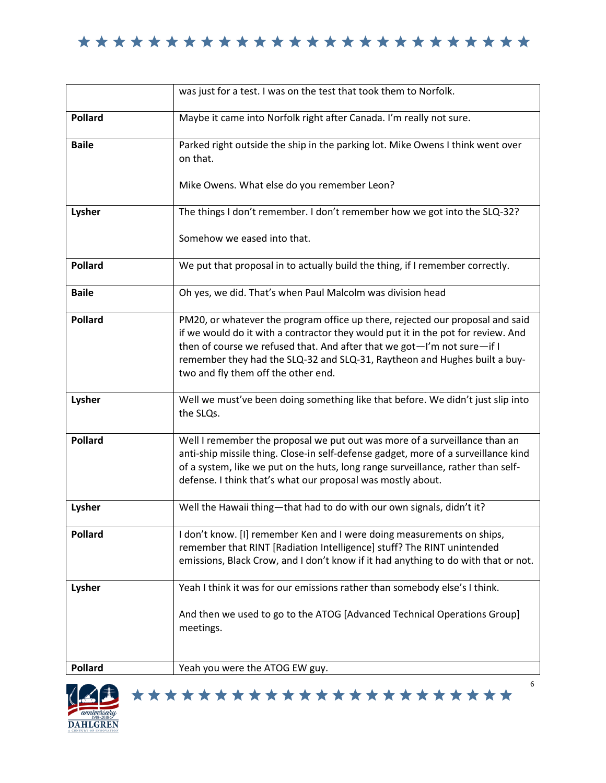|                | was just for a test. I was on the test that took them to Norfolk.                                                                                                                                                                                                                                                                                                |
|----------------|------------------------------------------------------------------------------------------------------------------------------------------------------------------------------------------------------------------------------------------------------------------------------------------------------------------------------------------------------------------|
| <b>Pollard</b> | Maybe it came into Norfolk right after Canada. I'm really not sure.                                                                                                                                                                                                                                                                                              |
| <b>Baile</b>   | Parked right outside the ship in the parking lot. Mike Owens I think went over<br>on that.<br>Mike Owens. What else do you remember Leon?                                                                                                                                                                                                                        |
| Lysher         | The things I don't remember. I don't remember how we got into the SLQ-32?<br>Somehow we eased into that.                                                                                                                                                                                                                                                         |
|                |                                                                                                                                                                                                                                                                                                                                                                  |
| <b>Pollard</b> | We put that proposal in to actually build the thing, if I remember correctly.                                                                                                                                                                                                                                                                                    |
| <b>Baile</b>   | Oh yes, we did. That's when Paul Malcolm was division head                                                                                                                                                                                                                                                                                                       |
| <b>Pollard</b> | PM20, or whatever the program office up there, rejected our proposal and said<br>if we would do it with a contractor they would put it in the pot for review. And<br>then of course we refused that. And after that we got-I'm not sure-if I<br>remember they had the SLQ-32 and SLQ-31, Raytheon and Hughes built a buy-<br>two and fly them off the other end. |
| Lysher         | Well we must've been doing something like that before. We didn't just slip into<br>the SLQs.                                                                                                                                                                                                                                                                     |
| <b>Pollard</b> | Well I remember the proposal we put out was more of a surveillance than an<br>anti-ship missile thing. Close-in self-defense gadget, more of a surveillance kind<br>of a system, like we put on the huts, long range surveillance, rather than self-<br>defense. I think that's what our proposal was mostly about.                                              |
| Lysher         | Well the Hawaii thing-that had to do with our own signals, didn't it?                                                                                                                                                                                                                                                                                            |
| <b>Pollard</b> | I don't know. [I] remember Ken and I were doing measurements on ships,<br>remember that RINT [Radiation Intelligence] stuff? The RINT unintended<br>emissions, Black Crow, and I don't know if it had anything to do with that or not.                                                                                                                           |
| Lysher         | Yeah I think it was for our emissions rather than somebody else's I think.                                                                                                                                                                                                                                                                                       |
|                | And then we used to go to the ATOG [Advanced Technical Operations Group]<br>meetings.                                                                                                                                                                                                                                                                            |
| <b>Pollard</b> | Yeah you were the ATOG EW guy.                                                                                                                                                                                                                                                                                                                                   |

\*\*\*\*\*\*\*\*\*\*\*\*\*\*\*\*\*\*\*\*\*\*\*

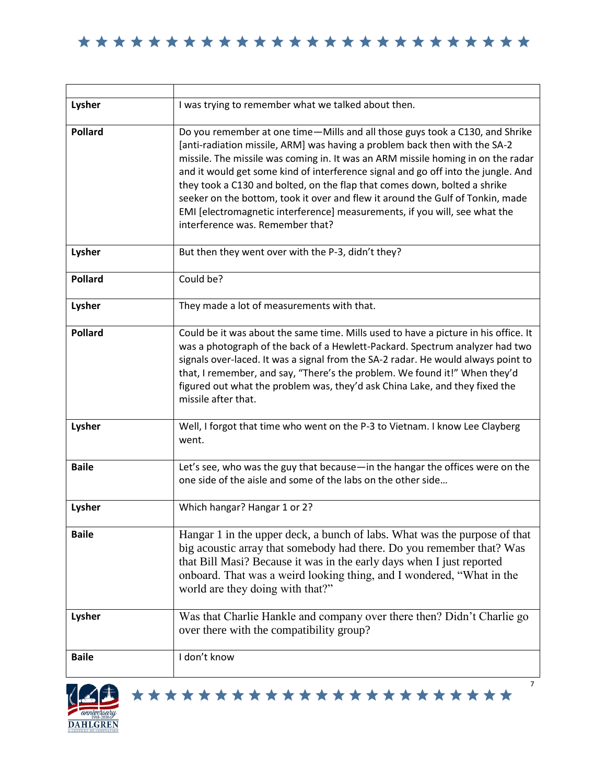| Lysher         | I was trying to remember what we talked about then.                                                                                                                                                                                                                                                                                                                                                                                                                                                                                                                                                                  |
|----------------|----------------------------------------------------------------------------------------------------------------------------------------------------------------------------------------------------------------------------------------------------------------------------------------------------------------------------------------------------------------------------------------------------------------------------------------------------------------------------------------------------------------------------------------------------------------------------------------------------------------------|
| <b>Pollard</b> | Do you remember at one time-Mills and all those guys took a C130, and Shrike<br>[anti-radiation missile, ARM] was having a problem back then with the SA-2<br>missile. The missile was coming in. It was an ARM missile homing in on the radar<br>and it would get some kind of interference signal and go off into the jungle. And<br>they took a C130 and bolted, on the flap that comes down, bolted a shrike<br>seeker on the bottom, took it over and flew it around the Gulf of Tonkin, made<br>EMI [electromagnetic interference] measurements, if you will, see what the<br>interference was. Remember that? |
| Lysher         | But then they went over with the P-3, didn't they?                                                                                                                                                                                                                                                                                                                                                                                                                                                                                                                                                                   |
| <b>Pollard</b> | Could be?                                                                                                                                                                                                                                                                                                                                                                                                                                                                                                                                                                                                            |
| Lysher         | They made a lot of measurements with that.                                                                                                                                                                                                                                                                                                                                                                                                                                                                                                                                                                           |
| <b>Pollard</b> | Could be it was about the same time. Mills used to have a picture in his office. It<br>was a photograph of the back of a Hewlett-Packard. Spectrum analyzer had two<br>signals over-laced. It was a signal from the SA-2 radar. He would always point to<br>that, I remember, and say, "There's the problem. We found it!" When they'd<br>figured out what the problem was, they'd ask China Lake, and they fixed the<br>missile after that.                                                                                                                                                                         |
| Lysher         | Well, I forgot that time who went on the P-3 to Vietnam. I know Lee Clayberg<br>went.                                                                                                                                                                                                                                                                                                                                                                                                                                                                                                                                |
| <b>Baile</b>   | Let's see, who was the guy that because-in the hangar the offices were on the<br>one side of the aisle and some of the labs on the other side                                                                                                                                                                                                                                                                                                                                                                                                                                                                        |
| Lysher         | Which hangar? Hangar 1 or 2?                                                                                                                                                                                                                                                                                                                                                                                                                                                                                                                                                                                         |
| <b>Baile</b>   | Hangar 1 in the upper deck, a bunch of labs. What was the purpose of that<br>big acoustic array that somebody had there. Do you remember that? Was<br>that Bill Masi? Because it was in the early days when I just reported<br>onboard. That was a weird looking thing, and I wondered, "What in the<br>world are they doing with that?"                                                                                                                                                                                                                                                                             |
| Lysher         | Was that Charlie Hankle and company over there then? Didn't Charlie go<br>over there with the compatibility group?                                                                                                                                                                                                                                                                                                                                                                                                                                                                                                   |
| <b>Baile</b>   | I don't know<br>7                                                                                                                                                                                                                                                                                                                                                                                                                                                                                                                                                                                                    |



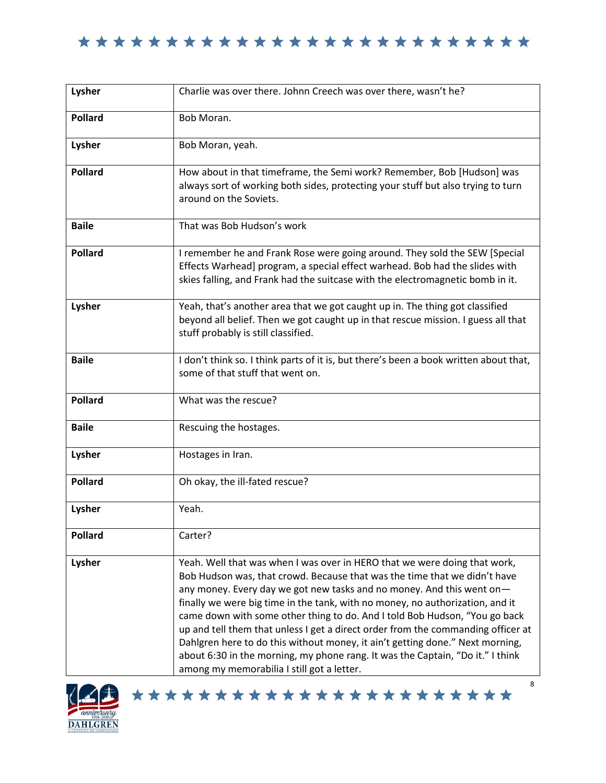| Lysher         | Charlie was over there. Johnn Creech was over there, wasn't he?                                                                                                                                                                                                                                                                                                                                                                                                                                                                                                                                                                                                                                     |
|----------------|-----------------------------------------------------------------------------------------------------------------------------------------------------------------------------------------------------------------------------------------------------------------------------------------------------------------------------------------------------------------------------------------------------------------------------------------------------------------------------------------------------------------------------------------------------------------------------------------------------------------------------------------------------------------------------------------------------|
| <b>Pollard</b> | Bob Moran.                                                                                                                                                                                                                                                                                                                                                                                                                                                                                                                                                                                                                                                                                          |
| Lysher         | Bob Moran, yeah.                                                                                                                                                                                                                                                                                                                                                                                                                                                                                                                                                                                                                                                                                    |
| <b>Pollard</b> | How about in that timeframe, the Semi work? Remember, Bob [Hudson] was<br>always sort of working both sides, protecting your stuff but also trying to turn<br>around on the Soviets.                                                                                                                                                                                                                                                                                                                                                                                                                                                                                                                |
| <b>Baile</b>   | That was Bob Hudson's work                                                                                                                                                                                                                                                                                                                                                                                                                                                                                                                                                                                                                                                                          |
| <b>Pollard</b> | I remember he and Frank Rose were going around. They sold the SEW [Special<br>Effects Warhead] program, a special effect warhead. Bob had the slides with<br>skies falling, and Frank had the suitcase with the electromagnetic bomb in it.                                                                                                                                                                                                                                                                                                                                                                                                                                                         |
| Lysher         | Yeah, that's another area that we got caught up in. The thing got classified<br>beyond all belief. Then we got caught up in that rescue mission. I guess all that<br>stuff probably is still classified.                                                                                                                                                                                                                                                                                                                                                                                                                                                                                            |
| <b>Baile</b>   | I don't think so. I think parts of it is, but there's been a book written about that,<br>some of that stuff that went on.                                                                                                                                                                                                                                                                                                                                                                                                                                                                                                                                                                           |
| <b>Pollard</b> | What was the rescue?                                                                                                                                                                                                                                                                                                                                                                                                                                                                                                                                                                                                                                                                                |
| <b>Baile</b>   | Rescuing the hostages.                                                                                                                                                                                                                                                                                                                                                                                                                                                                                                                                                                                                                                                                              |
| Lysher         | Hostages in Iran.                                                                                                                                                                                                                                                                                                                                                                                                                                                                                                                                                                                                                                                                                   |
| <b>Pollard</b> | Oh okay, the ill-fated rescue?                                                                                                                                                                                                                                                                                                                                                                                                                                                                                                                                                                                                                                                                      |
| Lysher         | Yeah.                                                                                                                                                                                                                                                                                                                                                                                                                                                                                                                                                                                                                                                                                               |
| <b>Pollard</b> | Carter?                                                                                                                                                                                                                                                                                                                                                                                                                                                                                                                                                                                                                                                                                             |
| Lysher         | Yeah. Well that was when I was over in HERO that we were doing that work,<br>Bob Hudson was, that crowd. Because that was the time that we didn't have<br>any money. Every day we got new tasks and no money. And this went on-<br>finally we were big time in the tank, with no money, no authorization, and it<br>came down with some other thing to do. And I told Bob Hudson, "You go back<br>up and tell them that unless I get a direct order from the commanding officer at<br>Dahlgren here to do this without money, it ain't getting done." Next morning,<br>about 6:30 in the morning, my phone rang. It was the Captain, "Do it." I think<br>among my memorabilia I still got a letter. |



\*\*\*\*\*\*\*\*\*\*\*\*\*\*\*\*\*\*\*\*\*\*\*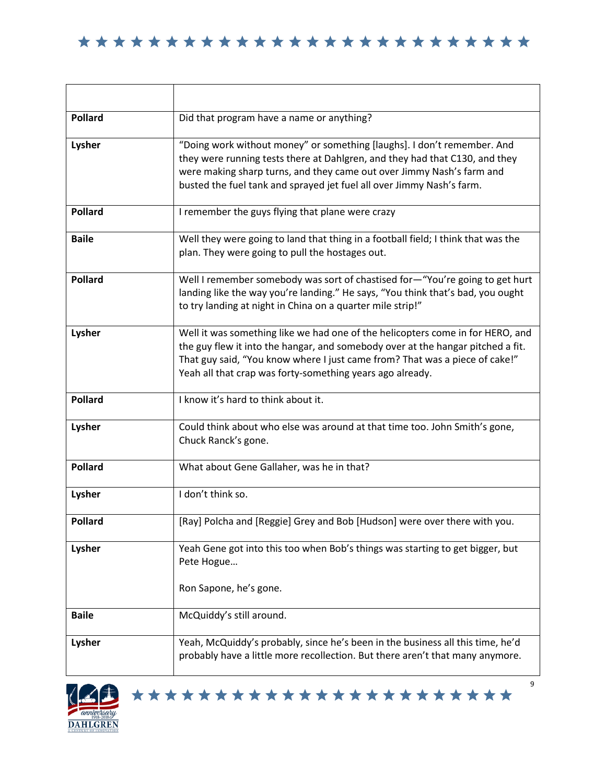| <b>Pollard</b> | Did that program have a name or anything?                                                                                                                                                                                                                                                                     |
|----------------|---------------------------------------------------------------------------------------------------------------------------------------------------------------------------------------------------------------------------------------------------------------------------------------------------------------|
| Lysher         | "Doing work without money" or something [laughs]. I don't remember. And<br>they were running tests there at Dahlgren, and they had that C130, and they<br>were making sharp turns, and they came out over Jimmy Nash's farm and<br>busted the fuel tank and sprayed jet fuel all over Jimmy Nash's farm.      |
| <b>Pollard</b> | I remember the guys flying that plane were crazy                                                                                                                                                                                                                                                              |
| <b>Baile</b>   | Well they were going to land that thing in a football field; I think that was the<br>plan. They were going to pull the hostages out.                                                                                                                                                                          |
| <b>Pollard</b> | Well I remember somebody was sort of chastised for-"You're going to get hurt<br>landing like the way you're landing." He says, "You think that's bad, you ought<br>to try landing at night in China on a quarter mile strip!"                                                                                 |
| Lysher         | Well it was something like we had one of the helicopters come in for HERO, and<br>the guy flew it into the hangar, and somebody over at the hangar pitched a fit.<br>That guy said, "You know where I just came from? That was a piece of cake!"<br>Yeah all that crap was forty-something years ago already. |
| <b>Pollard</b> | I know it's hard to think about it.                                                                                                                                                                                                                                                                           |
| Lysher         | Could think about who else was around at that time too. John Smith's gone,<br>Chuck Ranck's gone.                                                                                                                                                                                                             |
| <b>Pollard</b> | What about Gene Gallaher, was he in that?                                                                                                                                                                                                                                                                     |
| Lysher         | I don't think so.                                                                                                                                                                                                                                                                                             |
| <b>Pollard</b> | [Ray] Polcha and [Reggie] Grey and Bob [Hudson] were over there with you.                                                                                                                                                                                                                                     |
| Lysher         | Yeah Gene got into this too when Bob's things was starting to get bigger, but<br>Pete Hogue<br>Ron Sapone, he's gone.                                                                                                                                                                                         |
| <b>Baile</b>   | McQuiddy's still around.                                                                                                                                                                                                                                                                                      |
| Lysher         | Yeah, McQuiddy's probably, since he's been in the business all this time, he'd<br>probably have a little more recollection. But there aren't that many anymore.                                                                                                                                               |





┚ 9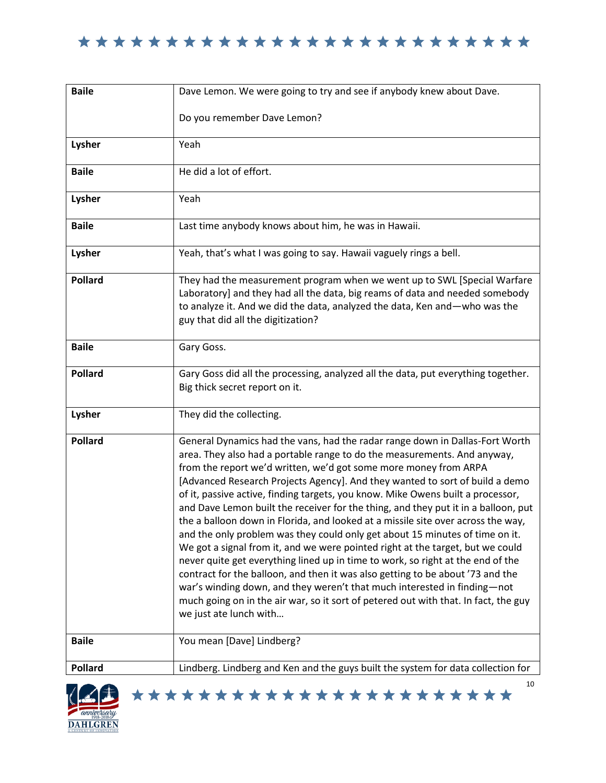

| <b>Baile</b>   | Dave Lemon. We were going to try and see if anybody knew about Dave.                                                                                                                                                                                                                                                                                                                                                                                                                                                                                                                                                                                                                                                                                                                                                                                                                                                                                                                                                                                                                                          |
|----------------|---------------------------------------------------------------------------------------------------------------------------------------------------------------------------------------------------------------------------------------------------------------------------------------------------------------------------------------------------------------------------------------------------------------------------------------------------------------------------------------------------------------------------------------------------------------------------------------------------------------------------------------------------------------------------------------------------------------------------------------------------------------------------------------------------------------------------------------------------------------------------------------------------------------------------------------------------------------------------------------------------------------------------------------------------------------------------------------------------------------|
|                | Do you remember Dave Lemon?                                                                                                                                                                                                                                                                                                                                                                                                                                                                                                                                                                                                                                                                                                                                                                                                                                                                                                                                                                                                                                                                                   |
| Lysher         | Yeah                                                                                                                                                                                                                                                                                                                                                                                                                                                                                                                                                                                                                                                                                                                                                                                                                                                                                                                                                                                                                                                                                                          |
| <b>Baile</b>   | He did a lot of effort.                                                                                                                                                                                                                                                                                                                                                                                                                                                                                                                                                                                                                                                                                                                                                                                                                                                                                                                                                                                                                                                                                       |
| Lysher         | Yeah                                                                                                                                                                                                                                                                                                                                                                                                                                                                                                                                                                                                                                                                                                                                                                                                                                                                                                                                                                                                                                                                                                          |
| <b>Baile</b>   | Last time anybody knows about him, he was in Hawaii.                                                                                                                                                                                                                                                                                                                                                                                                                                                                                                                                                                                                                                                                                                                                                                                                                                                                                                                                                                                                                                                          |
| Lysher         | Yeah, that's what I was going to say. Hawaii vaguely rings a bell.                                                                                                                                                                                                                                                                                                                                                                                                                                                                                                                                                                                                                                                                                                                                                                                                                                                                                                                                                                                                                                            |
| <b>Pollard</b> | They had the measurement program when we went up to SWL [Special Warfare<br>Laboratory] and they had all the data, big reams of data and needed somebody<br>to analyze it. And we did the data, analyzed the data, Ken and-who was the<br>guy that did all the digitization?                                                                                                                                                                                                                                                                                                                                                                                                                                                                                                                                                                                                                                                                                                                                                                                                                                  |
| <b>Baile</b>   | Gary Goss.                                                                                                                                                                                                                                                                                                                                                                                                                                                                                                                                                                                                                                                                                                                                                                                                                                                                                                                                                                                                                                                                                                    |
| <b>Pollard</b> | Gary Goss did all the processing, analyzed all the data, put everything together.<br>Big thick secret report on it.                                                                                                                                                                                                                                                                                                                                                                                                                                                                                                                                                                                                                                                                                                                                                                                                                                                                                                                                                                                           |
| Lysher         | They did the collecting.                                                                                                                                                                                                                                                                                                                                                                                                                                                                                                                                                                                                                                                                                                                                                                                                                                                                                                                                                                                                                                                                                      |
| <b>Pollard</b> | General Dynamics had the vans, had the radar range down in Dallas-Fort Worth<br>area. They also had a portable range to do the measurements. And anyway,<br>from the report we'd written, we'd got some more money from ARPA<br>[Advanced Research Projects Agency]. And they wanted to sort of build a demo<br>of it, passive active, finding targets, you know. Mike Owens built a processor,<br>and Dave Lemon built the receiver for the thing, and they put it in a balloon, put<br>the a balloon down in Florida, and looked at a missile site over across the way,<br>and the only problem was they could only get about 15 minutes of time on it.<br>We got a signal from it, and we were pointed right at the target, but we could<br>never quite get everything lined up in time to work, so right at the end of the<br>contract for the balloon, and then it was also getting to be about '73 and the<br>war's winding down, and they weren't that much interested in finding-not<br>much going on in the air war, so it sort of petered out with that. In fact, the guy<br>we just ate lunch with |
| <b>Baile</b>   | You mean [Dave] Lindberg?                                                                                                                                                                                                                                                                                                                                                                                                                                                                                                                                                                                                                                                                                                                                                                                                                                                                                                                                                                                                                                                                                     |
| <b>Pollard</b> | Lindberg. Lindberg and Ken and the guys built the system for data collection for<br>10                                                                                                                                                                                                                                                                                                                                                                                                                                                                                                                                                                                                                                                                                                                                                                                                                                                                                                                                                                                                                        |

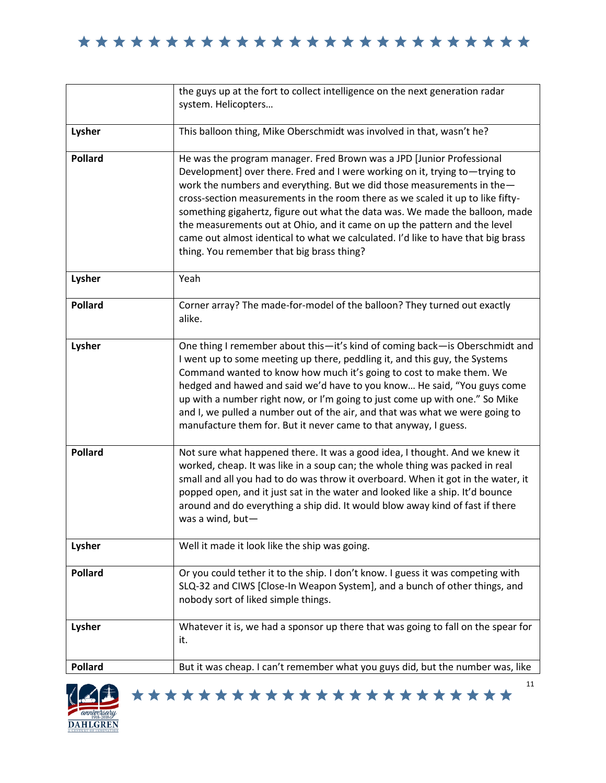|                | the guys up at the fort to collect intelligence on the next generation radar<br>system. Helicopters                                                                                                                                                                                                                                                                                                                                                                                                                                                                                                            |
|----------------|----------------------------------------------------------------------------------------------------------------------------------------------------------------------------------------------------------------------------------------------------------------------------------------------------------------------------------------------------------------------------------------------------------------------------------------------------------------------------------------------------------------------------------------------------------------------------------------------------------------|
|                |                                                                                                                                                                                                                                                                                                                                                                                                                                                                                                                                                                                                                |
| Lysher         | This balloon thing, Mike Oberschmidt was involved in that, wasn't he?                                                                                                                                                                                                                                                                                                                                                                                                                                                                                                                                          |
| <b>Pollard</b> | He was the program manager. Fred Brown was a JPD [Junior Professional<br>Development] over there. Fred and I were working on it, trying to-trying to<br>work the numbers and everything. But we did those measurements in the-<br>cross-section measurements in the room there as we scaled it up to like fifty-<br>something gigahertz, figure out what the data was. We made the balloon, made<br>the measurements out at Ohio, and it came on up the pattern and the level<br>came out almost identical to what we calculated. I'd like to have that big brass<br>thing. You remember that big brass thing? |
| Lysher         | Yeah                                                                                                                                                                                                                                                                                                                                                                                                                                                                                                                                                                                                           |
| <b>Pollard</b> | Corner array? The made-for-model of the balloon? They turned out exactly<br>alike.                                                                                                                                                                                                                                                                                                                                                                                                                                                                                                                             |
| Lysher         | One thing I remember about this-it's kind of coming back-is Oberschmidt and<br>I went up to some meeting up there, peddling it, and this guy, the Systems<br>Command wanted to know how much it's going to cost to make them. We<br>hedged and hawed and said we'd have to you know He said, "You guys come<br>up with a number right now, or I'm going to just come up with one." So Mike<br>and I, we pulled a number out of the air, and that was what we were going to<br>manufacture them for. But it never came to that anyway, I guess.                                                                 |
| <b>Pollard</b> | Not sure what happened there. It was a good idea, I thought. And we knew it<br>worked, cheap. It was like in a soup can; the whole thing was packed in real<br>small and all you had to do was throw it overboard. When it got in the water, it<br>popped open, and it just sat in the water and looked like a ship. It'd bounce<br>around and do everything a ship did. It would blow away kind of fast if there<br>was a wind, but-                                                                                                                                                                          |
| Lysher         | Well it made it look like the ship was going.                                                                                                                                                                                                                                                                                                                                                                                                                                                                                                                                                                  |
| <b>Pollard</b> | Or you could tether it to the ship. I don't know. I guess it was competing with<br>SLQ-32 and CIWS [Close-In Weapon System], and a bunch of other things, and<br>nobody sort of liked simple things.                                                                                                                                                                                                                                                                                                                                                                                                           |
| Lysher         | Whatever it is, we had a sponsor up there that was going to fall on the spear for<br>it.                                                                                                                                                                                                                                                                                                                                                                                                                                                                                                                       |
| <b>Pollard</b> | But it was cheap. I can't remember what you guys did, but the number was, like                                                                                                                                                                                                                                                                                                                                                                                                                                                                                                                                 |

\*\*\*\*\*\*\*\*\*\*\*\*\*\*\*\*\*\*\*\*\*\*\*